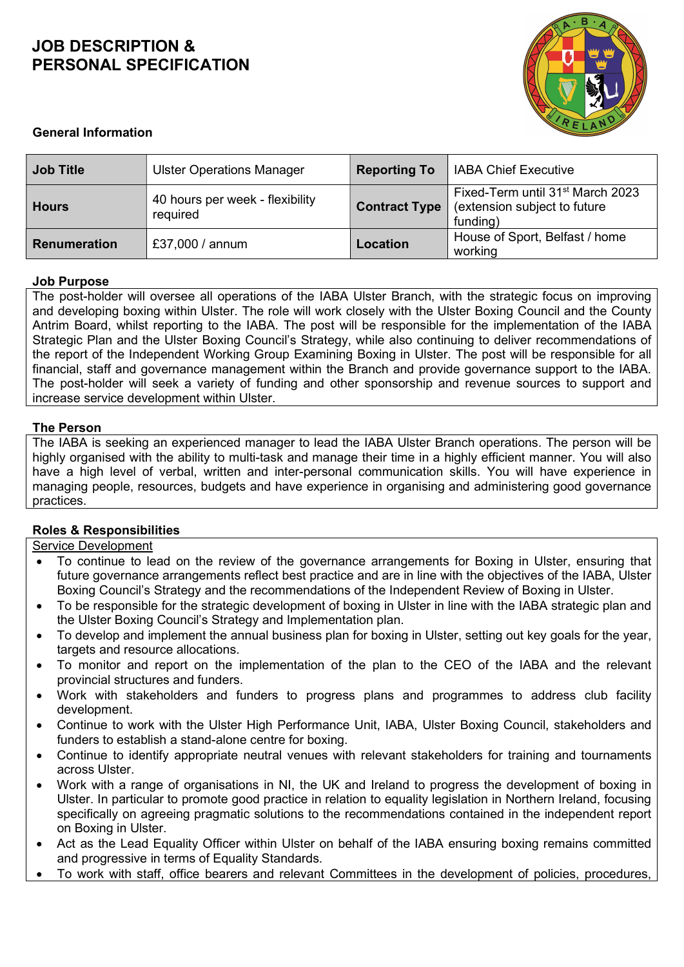

### General Information

| <b>Job Title</b>    | <b>Ulster Operations Manager</b>            | <b>Reporting To</b>  | <b>IABA Chief Executive</b>                                                              |
|---------------------|---------------------------------------------|----------------------|------------------------------------------------------------------------------------------|
| <b>Hours</b>        | 40 hours per week - flexibility<br>required | <b>Contract Type</b> | Fixed-Term until 31 <sup>st</sup> March 2023<br>(extension subject to future<br>funding) |
| <b>Renumeration</b> | £37,000 / annum                             | Location             | House of Sport, Belfast / home<br>working                                                |

#### Job Purpose

The post-holder will oversee all operations of the IABA Ulster Branch, with the strategic focus on improving and developing boxing within Ulster. The role will work closely with the Ulster Boxing Council and the County Antrim Board, whilst reporting to the IABA. The post will be responsible for the implementation of the IABA Strategic Plan and the Ulster Boxing Council's Strategy, while also continuing to deliver recommendations of the report of the Independent Working Group Examining Boxing in Ulster. The post will be responsible for all financial, staff and governance management within the Branch and provide governance support to the IABA. The post-holder will seek a variety of funding and other sponsorship and revenue sources to support and increase service development within Ulster.

#### The Person

The IABA is seeking an experienced manager to lead the IABA Ulster Branch operations. The person will be highly organised with the ability to multi-task and manage their time in a highly efficient manner. You will also have a high level of verbal, written and inter-personal communication skills. You will have experience in managing people, resources, budgets and have experience in organising and administering good governance practices.

### Roles & Responsibilities

Service Development

- To continue to lead on the review of the governance arrangements for Boxing in Ulster, ensuring that future governance arrangements reflect best practice and are in line with the objectives of the IABA, Ulster Boxing Council's Strategy and the recommendations of the Independent Review of Boxing in Ulster.
- To be responsible for the strategic development of boxing in Ulster in line with the IABA strategic plan and the Ulster Boxing Council's Strategy and Implementation plan.
- To develop and implement the annual business plan for boxing in Ulster, setting out key goals for the year, targets and resource allocations.
- To monitor and report on the implementation of the plan to the CEO of the IABA and the relevant provincial structures and funders.
- Work with stakeholders and funders to progress plans and programmes to address club facility development.
- Continue to work with the Ulster High Performance Unit, IABA, Ulster Boxing Council, stakeholders and funders to establish a stand-alone centre for boxing.
- Continue to identify appropriate neutral venues with relevant stakeholders for training and tournaments across Ulster.
- Work with a range of organisations in NI, the UK and Ireland to progress the development of boxing in Ulster. In particular to promote good practice in relation to equality legislation in Northern Ireland, focusing specifically on agreeing pragmatic solutions to the recommendations contained in the independent report on Boxing in Ulster.
- Act as the Lead Equality Officer within Ulster on behalf of the IABA ensuring boxing remains committed and progressive in terms of Equality Standards.
- To work with staff, office bearers and relevant Committees in the development of policies, procedures,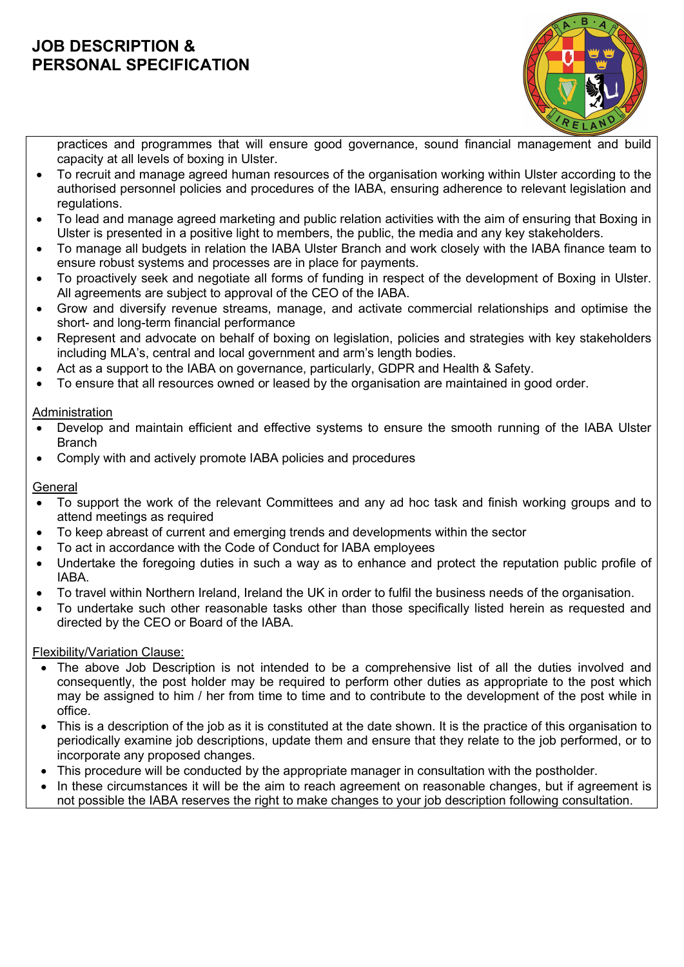

practices and programmes that will ensure good governance, sound financial management and build capacity at all levels of boxing in Ulster.

- To recruit and manage agreed human resources of the organisation working within Ulster according to the authorised personnel policies and procedures of the IABA, ensuring adherence to relevant legislation and regulations.
- To lead and manage agreed marketing and public relation activities with the aim of ensuring that Boxing in Ulster is presented in a positive light to members, the public, the media and any key stakeholders.
- To manage all budgets in relation the IABA Ulster Branch and work closely with the IABA finance team to ensure robust systems and processes are in place for payments.
- To proactively seek and negotiate all forms of funding in respect of the development of Boxing in Ulster. All agreements are subject to approval of the CEO of the IABA.
- Grow and diversify revenue streams, manage, and activate commercial relationships and optimise the short- and long-term financial performance
- Represent and advocate on behalf of boxing on legislation, policies and strategies with key stakeholders including MLA's, central and local government and arm's length bodies.
- Act as a support to the IABA on governance, particularly, GDPR and Health & Safety.
- To ensure that all resources owned or leased by the organisation are maintained in good order.

### Administration

- Develop and maintain efficient and effective systems to ensure the smooth running of the IABA Ulster **Branch**
- Comply with and actively promote IABA policies and procedures

### **General**

- To support the work of the relevant Committees and any ad hoc task and finish working groups and to attend meetings as required
- To keep abreast of current and emerging trends and developments within the sector
- To act in accordance with the Code of Conduct for IABA employees
- Undertake the foregoing duties in such a way as to enhance and protect the reputation public profile of IABA.
- To travel within Northern Ireland, Ireland the UK in order to fulfil the business needs of the organisation.
- To undertake such other reasonable tasks other than those specifically listed herein as requested and directed by the CEO or Board of the IABA.

### Flexibility/Variation Clause:

- The above Job Description is not intended to be a comprehensive list of all the duties involved and consequently, the post holder may be required to perform other duties as appropriate to the post which may be assigned to him / her from time to time and to contribute to the development of the post while in office.
- This is a description of the job as it is constituted at the date shown. It is the practice of this organisation to periodically examine job descriptions, update them and ensure that they relate to the job performed, or to incorporate any proposed changes.
- This procedure will be conducted by the appropriate manager in consultation with the postholder.
- In these circumstances it will be the aim to reach agreement on reasonable changes, but if agreement is not possible the IABA reserves the right to make changes to your job description following consultation.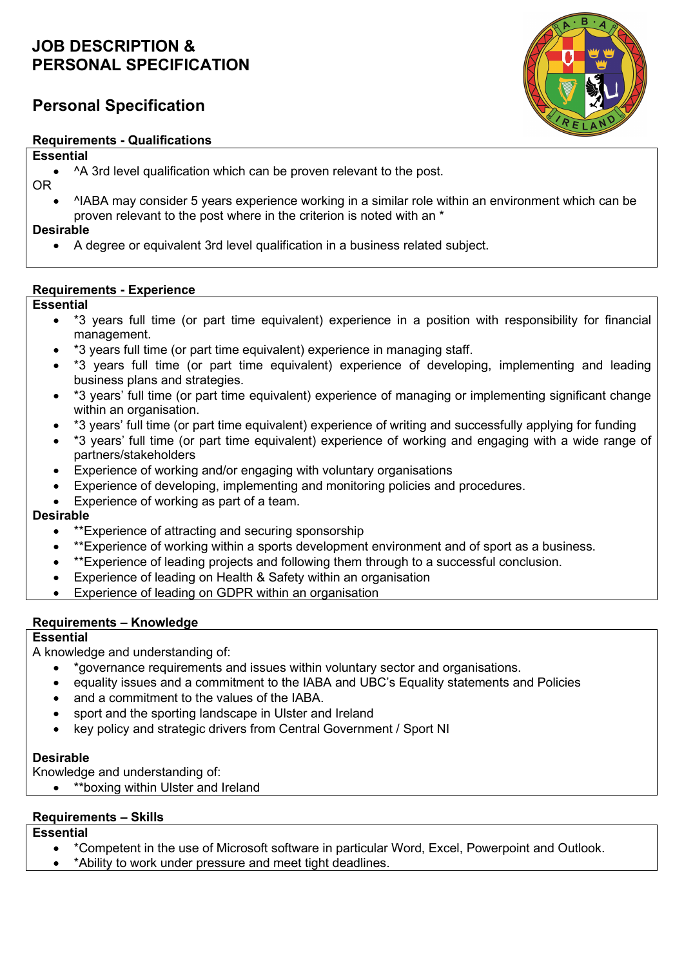# Personal Specification

## Requirements - Qualifications

### **Essential**

^A 3rd level qualification which can be proven relevant to the post.

OR

 ^IABA may consider 5 years experience working in a similar role within an environment which can be proven relevant to the post where in the criterion is noted with an \*

### Desirable

A degree or equivalent 3rd level qualification in a business related subject.

## Requirements - Experience

## **Essential**

- \*3 years full time (or part time equivalent) experience in a position with responsibility for financial management.
- \*3 years full time (or part time equivalent) experience in managing staff.
- \*3 years full time (or part time equivalent) experience of developing, implementing and leading business plans and strategies.
- \*3 years' full time (or part time equivalent) experience of managing or implementing significant change within an organisation.
- \*3 years' full time (or part time equivalent) experience of writing and successfully applying for funding
- \*3 years' full time (or part time equivalent) experience of working and engaging with a wide range of partners/stakeholders
- Experience of working and/or engaging with voluntary organisations
- Experience of developing, implementing and monitoring policies and procedures.
- Experience of working as part of a team.

### Desirable

- \*\*Experience of attracting and securing sponsorship
- \*\*Experience of working within a sports development environment and of sport as a business.
- \*\*Experience of leading projects and following them through to a successful conclusion.
- Experience of leading on Health & Safety within an organisation
- Experience of leading on GDPR within an organisation

## Requirements – Knowledge

### Essential

A knowledge and understanding of:

- \*governance requirements and issues within voluntary sector and organisations.
- equality issues and a commitment to the IABA and UBC's Equality statements and Policies
- and a commitment to the values of the IABA.
- sport and the sporting landscape in Ulster and Ireland
- key policy and strategic drivers from Central Government / Sport NI

## Desirable

Knowledge and understanding of:

• \*\*boxing within Ulster and Ireland

## Requirements – Skills

## **Essential**

- \*Competent in the use of Microsoft software in particular Word, Excel, Powerpoint and Outlook.
- \*Ability to work under pressure and meet tight deadlines.